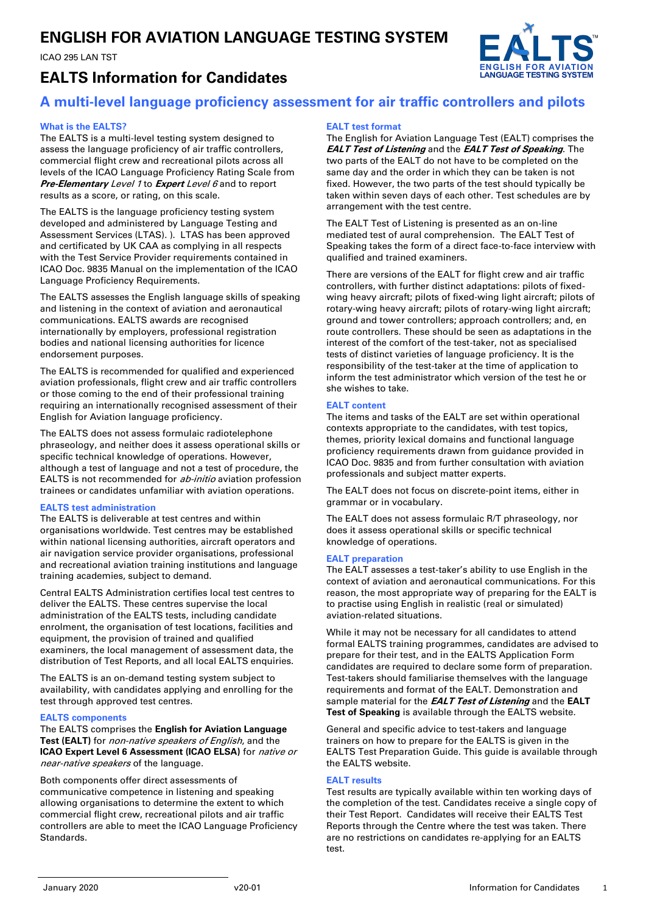# **ENGLISH FOR AVIATION LANGUAGE TESTING SYSTEM**

ICAO 295 LAN TST



# **EALTS Information for Candidates**

## **A multi-level language proficiency assessment for air traffic controllers and pilots**

#### **What is the EALTS?**

The EALTS is a multi-level testing system designed to assess the language proficiency of air traffic controllers, commercial flight crew and recreational pilots across all levels of the ICAO Language Proficiency Rating Scale from **Pre-Elementary** Level 1 to **Expert** Level 6 and to report results as a score, or rating, on this scale.

The EALTS is the language proficiency testing system developed and administered by Language Testing and Assessment Services (LTAS). ). LTAS has been approved and certificated by UK CAA as complying in all respects with the Test Service Provider requirements contained in ICAO Doc. 9835 Manual on the implementation of the ICAO Language Proficiency Requirements.

The EALTS assesses the English language skills of speaking and listening in the context of aviation and aeronautical communications. EALTS awards are recognised internationally by employers, professional registration bodies and national licensing authorities for licence endorsement purposes.

The EALTS is recommended for qualified and experienced aviation professionals, flight crew and air traffic controllers or those coming to the end of their professional training requiring an internationally recognised assessment of their English for Aviation language proficiency.

The EALTS does not assess formulaic radiotelephone phraseology, and neither does it assess operational skills or specific technical knowledge of operations. However, although a test of language and not a test of procedure, the EALTS is not recommended for ab-initio aviation profession trainees or candidates unfamiliar with aviation operations.

#### **EALTS test administration**

The EALTS is deliverable at test centres and within organisations worldwide. Test centres may be established within national licensing authorities, aircraft operators and air navigation service provider organisations, professional and recreational aviation training institutions and language training academies, subject to demand.

Central EALTS Administration certifies local test centres to deliver the EALTS. These centres supervise the local administration of the EALTS tests, including candidate enrolment, the organisation of test locations, facilities and equipment, the provision of trained and qualified examiners, the local management of assessment data, the distribution of Test Reports, and all local EALTS enquiries.

The EALTS is an on-demand testing system subject to availability, with candidates applying and enrolling for the test through approved test centres.

#### **EALTS components**

The EALTS comprises the **English for Aviation Language Test (EALT)** for non-native speakers of English, and the **ICAO Expert Level 6 Assessment (ICAO ELSA)** for *native or* near-native speakers of the language.

Both components offer direct assessments of communicative competence in listening and speaking allowing organisations to determine the extent to which commercial flight crew, recreational pilots and air traffic controllers are able to meet the ICAO Language Proficiency Standards.

#### **EALT test format**

The English for Aviation Language Test (EALT) comprises the **EALT Test of Listening** and the **EALT Test of Speaking**. The two parts of the EALT do not have to be completed on the same day and the order in which they can be taken is not fixed. However, the two parts of the test should typically be taken within seven days of each other. Test schedules are by arrangement with the test centre.

The EALT Test of Listening is presented as an on-line mediated test of aural comprehension. The EALT Test of Speaking takes the form of a direct face-to-face interview with qualified and trained examiners.

There are versions of the EALT for flight crew and air traffic controllers, with further distinct adaptations: pilots of fixedwing heavy aircraft; pilots of fixed-wing light aircraft; pilots of rotary-wing heavy aircraft; pilots of rotary-wing light aircraft; ground and tower controllers; approach controllers; and, en route controllers. These should be seen as adaptations in the interest of the comfort of the test-taker, not as specialised tests of distinct varieties of language proficiency. It is the responsibility of the test-taker at the time of application to inform the test administrator which version of the test he or she wishes to take.

#### **EALT content**

The items and tasks of the EALT are set within operational contexts appropriate to the candidates, with test topics, themes, priority lexical domains and functional language proficiency requirements drawn from guidance provided in ICAO Doc. 9835 and from further consultation with aviation professionals and subject matter experts.

The EALT does not focus on discrete-point items, either in grammar or in vocabulary.

The EALT does not assess formulaic R/T phraseology, nor does it assess operational skills or specific technical knowledge of operations.

#### **EALT preparation**

The EALT assesses a test-taker's ability to use English in the context of aviation and aeronautical communications. For this reason, the most appropriate way of preparing for the EALT is to practise using English in realistic (real or simulated) aviation-related situations.

While it may not be necessary for all candidates to attend formal EALTS training programmes, candidates are advised to prepare for their test, and in the EALTS Application Form candidates are required to declare some form of preparation. Test-takers should familiarise themselves with the language requirements and format of the EALT. Demonstration and sample material for the **EALT Test of Listening** and the **EALT Test of Speaking** is available through the EALTS website.

General and specific advice to test-takers and language trainers on how to prepare for the EALTS is given in the EALTS Test Preparation Guide. This guide is available through the EALTS website.

#### **EALT results**

Test results are typically available within ten working days of the completion of the test. Candidates receive a single copy of their Test Report. Candidates will receive their EALTS Test Reports through the Centre where the test was taken. There are no restrictions on candidates re-applying for an EALTS test.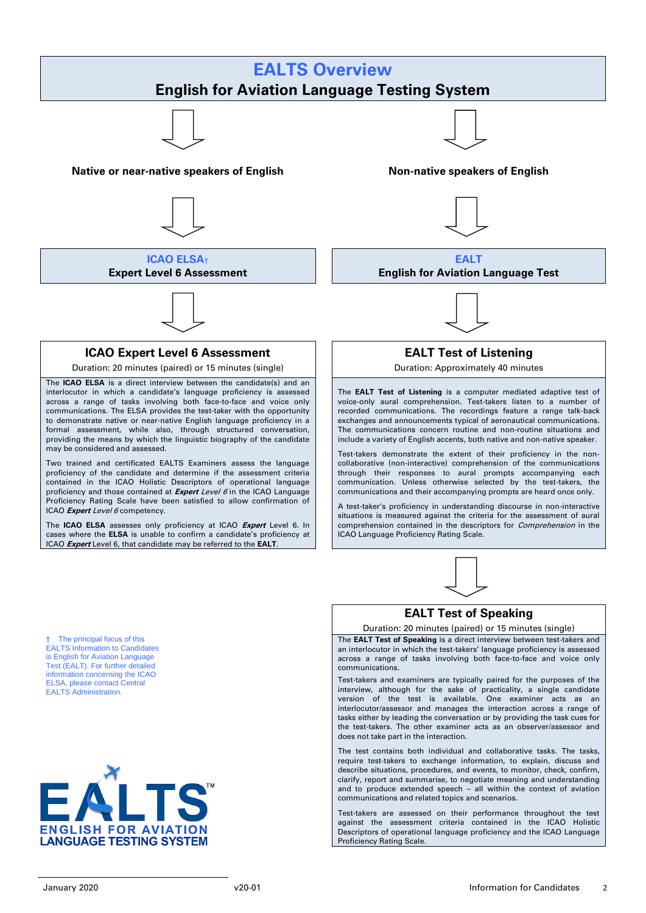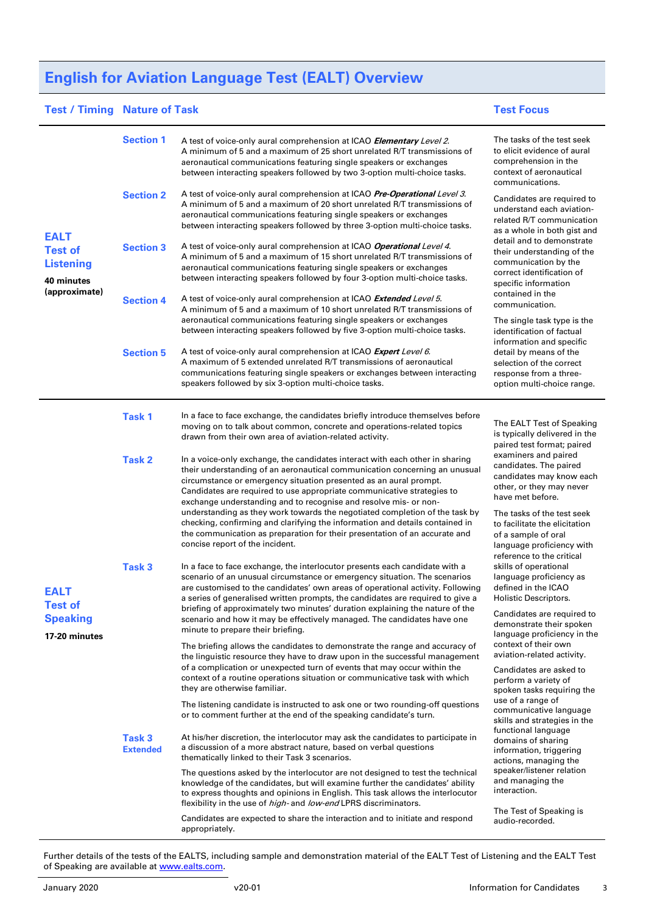# **English for Aviation Language Test (EALT) Overview**

## **Test / Timing Nature of Task Test Focus**

| <b>EALT</b><br><b>Test of</b><br><b>Listening</b><br>40 minutes<br>(approximate)<br><b>EALT</b><br>Test of<br><b>Speaking</b><br>17-20 minutes | <b>Section 1</b>                     | A test of voice-only aural comprehension at ICAO <b>Elementary</b> Level 2.<br>A minimum of 5 and a maximum of 25 short unrelated R/T transmissions of<br>aeronautical communications featuring single speakers or exchanges<br>between interacting speakers followed by two 3-option multi-choice tasks.                                                                                                                                                                                                                                    | The tasks of the test seek<br>to elicit evidence of aural<br>comprehension in the<br>context of aeronautical<br>communications.                                                                                                          |
|------------------------------------------------------------------------------------------------------------------------------------------------|--------------------------------------|----------------------------------------------------------------------------------------------------------------------------------------------------------------------------------------------------------------------------------------------------------------------------------------------------------------------------------------------------------------------------------------------------------------------------------------------------------------------------------------------------------------------------------------------|------------------------------------------------------------------------------------------------------------------------------------------------------------------------------------------------------------------------------------------|
|                                                                                                                                                | <b>Section 2</b>                     | A test of voice-only aural comprehension at ICAO Pre-Operational Level 3.<br>A minimum of 5 and a maximum of 20 short unrelated R/T transmissions of<br>aeronautical communications featuring single speakers or exchanges<br>between interacting speakers followed by three 3-option multi-choice tasks.                                                                                                                                                                                                                                    | Candidates are required to<br>understand each aviation-<br>related R/T communication<br>as a whole in both gist and                                                                                                                      |
|                                                                                                                                                | <b>Section 3</b>                     | A test of voice-only aural comprehension at ICAO Operational Level 4.<br>A minimum of 5 and a maximum of 15 short unrelated R/T transmissions of<br>aeronautical communications featuring single speakers or exchanges<br>between interacting speakers followed by four 3-option multi-choice tasks.                                                                                                                                                                                                                                         | detail and to demonstrate<br>their understanding of the<br>communication by the<br>correct identification of<br>specific information                                                                                                     |
|                                                                                                                                                | <b>Section 4</b>                     | A test of voice-only aural comprehension at ICAO Extended Level 5.<br>A minimum of 5 and a maximum of 10 short unrelated R/T transmissions of<br>aeronautical communications featuring single speakers or exchanges<br>between interacting speakers followed by five 3-option multi-choice tasks.                                                                                                                                                                                                                                            | contained in the<br>communication.<br>The single task type is the<br>identification of factual<br>information and specific<br>detail by means of the<br>selection of the correct<br>response from a three-<br>option multi-choice range. |
|                                                                                                                                                | <b>Section 5</b>                     | A test of voice-only aural comprehension at ICAO Expert Level 6.<br>A maximum of 5 extended unrelated R/T transmissions of aeronautical<br>communications featuring single speakers or exchanges between interacting<br>speakers followed by six 3-option multi-choice tasks.                                                                                                                                                                                                                                                                |                                                                                                                                                                                                                                          |
|                                                                                                                                                | <b>Task 1</b>                        | In a face to face exchange, the candidates briefly introduce themselves before<br>moving on to talk about common, concrete and operations-related topics<br>drawn from their own area of aviation-related activity.                                                                                                                                                                                                                                                                                                                          | The EALT Test of Speaking<br>is typically delivered in the<br>paired test format; paired                                                                                                                                                 |
|                                                                                                                                                | <b>Task 2</b>                        | In a voice-only exchange, the candidates interact with each other in sharing<br>their understanding of an aeronautical communication concerning an unusual<br>circumstance or emergency situation presented as an aural prompt.<br>Candidates are required to use appropriate communicative strategies to<br>exchange understanding and to recognise and resolve mis- or non-<br>understanding as they work towards the negotiated completion of the task by<br>checking, confirming and clarifying the information and details contained in | examiners and paired<br>candidates. The paired<br>candidates may know each<br>other, or they may never<br>have met before.<br>The tasks of the test seek<br>to facilitate the elicitation                                                |
|                                                                                                                                                | Task <sub>3</sub>                    | the communication as preparation for their presentation of an accurate and<br>concise report of the incident.<br>In a face to face exchange, the interlocutor presents each candidate with a                                                                                                                                                                                                                                                                                                                                                 | of a sample of oral<br>language proficiency with<br>reference to the critical<br>skills of operational                                                                                                                                   |
|                                                                                                                                                |                                      | scenario of an unusual circumstance or emergency situation. The scenarios<br>are customised to the candidates' own areas of operational activity. Following<br>a series of generalised written prompts, the candidates are required to give a<br>briefing of approximately two minutes' duration explaining the nature of the                                                                                                                                                                                                                | language proficiency as<br>defined in the ICAO<br>Holistic Descriptors.                                                                                                                                                                  |
|                                                                                                                                                |                                      | scenario and how it may be effectively managed. The candidates have one<br>minute to prepare their briefing.<br>The briefing allows the candidates to demonstrate the range and accuracy of                                                                                                                                                                                                                                                                                                                                                  | Candidates are required to<br>demonstrate their spoken<br>language proficiency in the<br>context of their own                                                                                                                            |
|                                                                                                                                                |                                      | the linguistic resource they have to draw upon in the successful management<br>of a complication or unexpected turn of events that may occur within the<br>context of a routine operations situation or communicative task with which<br>they are otherwise familiar.                                                                                                                                                                                                                                                                        | aviation-related activity.<br>Candidates are asked to<br>perform a variety of<br>spoken tasks requiring the                                                                                                                              |
|                                                                                                                                                |                                      | The listening candidate is instructed to ask one or two rounding-off questions<br>or to comment further at the end of the speaking candidate's turn.                                                                                                                                                                                                                                                                                                                                                                                         | use of a range of<br>communicative language<br>skills and strategies in the                                                                                                                                                              |
|                                                                                                                                                | Task <sub>3</sub><br><b>Extended</b> | At his/her discretion, the interlocutor may ask the candidates to participate in<br>a discussion of a more abstract nature, based on verbal questions<br>thematically linked to their Task 3 scenarios.                                                                                                                                                                                                                                                                                                                                      | functional language<br>domains of sharing<br>information, triggering<br>actions, managing the                                                                                                                                            |
|                                                                                                                                                |                                      | The questions asked by the interlocutor are not designed to test the technical<br>knowledge of the candidates, but will examine further the candidates' ability<br>to express thoughts and opinions in English. This task allows the interlocutor<br>flexibility in the use of high- and low-end LPRS discriminators.                                                                                                                                                                                                                        | speaker/listener relation<br>and managing the<br>interaction.                                                                                                                                                                            |
|                                                                                                                                                |                                      | Candidates are expected to share the interaction and to initiate and respond<br>appropriately.                                                                                                                                                                                                                                                                                                                                                                                                                                               | The Test of Speaking is<br>audio-recorded.                                                                                                                                                                                               |

Further details of the tests of the EALTS, including sample and demonstration material of the EALT Test of Listening and the EALT Test of Speaking are available at [www.ealts.com.](http://www.ealts.com/)